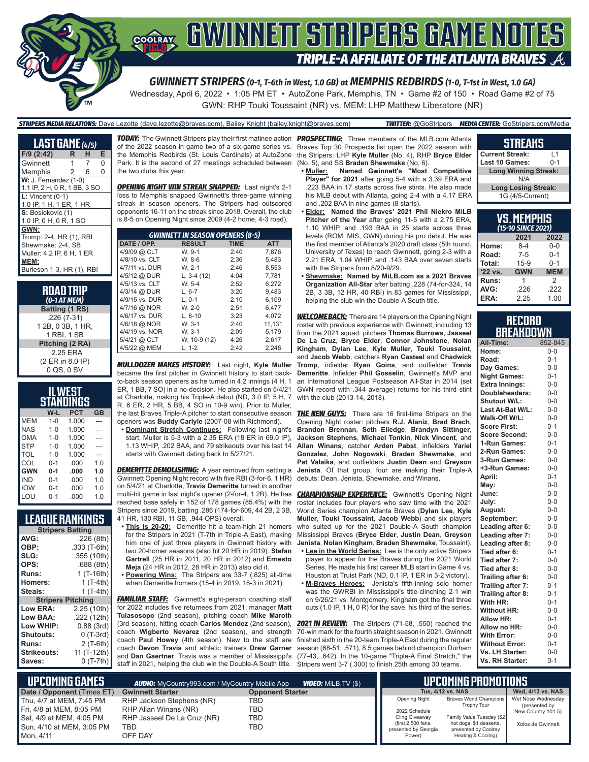

# **SOFAY GWINNEIT STRIPERS GAME NOTES TRIPLE-A AFFILIATE OF THE ATLANTA BRAVES**

*GWINNETT STRIPERS (0-1, T-6th in West, 1.0 GB) at MEMPHIS REDBIRDS (1-0, T-1st in West, 1.0 GA)*

Wednesday, April 6, 2022 • 1:05 PM ET • AutoZone Park, Memphis, TN • Game #2 of 150 • Road Game #2 of 75 GWN: RHP Touki Toussaint (NR) vs. MEM: LHP Matthew Liberatore (NR)

#### *STRIPERS MEDIA RELATIONS:* Dave Lezotte (dave.lezotte@braves.com), Bailey Knight (bailey.knight@braves.com) *TWITTER:* @GoStripers *MEDIA CENTER:* GoStripers.com/Media

**LAST GAME** *(4/5)* **F/9 (2:42) R H E** Gwinnett 1 Memphis 2 6 0 **W:** J. Fernandez (1-0) 1.1 IP, 2 H, 0 R, 1 BB, 3 SO **L:** Vincent (0-1) 1.0 IP, 1 H, 1 ER, 1 HR S: Bosiokovic (1) 1.0 IP, 0 H, 0 R, 1 SO **GWN:** Tromp: 2-4, HR (1), RBI Shewmake: 2-4, SB Muller: 4.2 IP, 6 H, 1 ER **MEM:** Burleson 1-3, HR (1), RBI

> **ROAD TRIP** *(0-1 AT MEM)* **Batting (1 RS)** .226 (7-31) 1 2B, 0 3B, 1 HR, 1 RBI, 1 SB **Pitching (2 RA)** 2.25 ERA (2 ER in 8.0 IP) 0 QS, 0 SV

| ILWEST<br>STANDINGS |              |            |           |  |  |  |  |  |  |
|---------------------|--------------|------------|-----------|--|--|--|--|--|--|
|                     | W-L          | <b>PCT</b> | <b>GB</b> |  |  |  |  |  |  |
| MFM                 | $1 - \Omega$ | 1.000      |           |  |  |  |  |  |  |
| <b>NAS</b>          | $1 - 0$      | 1.000      |           |  |  |  |  |  |  |
| OMA                 | $1 - 0$      | 1.000      |           |  |  |  |  |  |  |
| <b>STP</b>          | $1 - \Omega$ | 1.000      |           |  |  |  |  |  |  |
| TOL                 | $1 - 0$      | 1.000      |           |  |  |  |  |  |  |
| COL                 | $0 - 1$      | .000       | 1.0       |  |  |  |  |  |  |
| <b>GWN</b>          | $0 - 1$      | .000       | 1.0       |  |  |  |  |  |  |
| IND                 | $0 - 1$      | .000       | 1.0       |  |  |  |  |  |  |
| <b>IOW</b>          | $0 - 1$      | .000       | 1.0       |  |  |  |  |  |  |
| I OU                | በ-1          | .000       | 1.0       |  |  |  |  |  |  |

#### **LEAGUE RANKINGS**

| <b>Stripers Batting</b>  |              |
|--------------------------|--------------|
| AVG:                     | .226 (8th)   |
| OBP:                     | .333 (T-6th) |
| SLG:                     | .355 (10th)  |
| OPS:                     | .688(8th)    |
| Runs:                    | $1$ (T-16th) |
| Homers:                  | 1 (T-4th)    |
| Steals:                  | 1 (T-4th)    |
| <b>Stripers Pitching</b> |              |
| <b>Low ERA:</b>          | 2.25 (10th)  |
| Low BAA:                 | .222 (12th)  |
| Low WHIP:                | 0.88 (3rd)   |
| <b>Shutouts:</b>         | $0$ (T-3rd)  |
| Runs:                    | 2 (T-6th)    |
| <b>Strikeouts:</b>       | 11 (T-12th)  |
| Saves:                   | 0 (T-7th)    |

of the 2022 season in game two of a six-game series vs. Park. It is the second of 27 meetings scheduled between the two clubs this year.

*OPENING NIGHT WIN STREAK SNAPPED:* Last night's 2-1 loss to Memphis snapped Gwinnett's three-game winning streak in season openers. The Stripers had outscored opponents 16-11 on the streak since 2018. Overall, the club is 8-5 on Opening Night since 2009 (4-2 home, 4-3 road).

| <b>GWINNETT IN SEASON OPENERS (8-5)</b> |               |             |            |  |  |  |  |  |  |
|-----------------------------------------|---------------|-------------|------------|--|--|--|--|--|--|
| DATE / OPP.                             | <b>RESULT</b> | <b>TIME</b> | <b>ATT</b> |  |  |  |  |  |  |
| 4/9/09 @ CLT                            | W. 9-1        | 2:40        | 7.876      |  |  |  |  |  |  |
| 4/8/10 vs. CLT                          | W. 8-6        | 2:36        | 5.483      |  |  |  |  |  |  |
| 4/7/11 vs. DUR                          | W. 2-1        | 2:46        | 8.553      |  |  |  |  |  |  |
| 4/5/12 @ DUR                            | L, $3-4(12)$  | 4:04        | 7.781      |  |  |  |  |  |  |
| 4/5/13 vs. CLT                          | W. 5-4        | 2:52        | 6.272      |  |  |  |  |  |  |
| 4/3/14 @ DUR                            | $L, 6-7$      | 3:20        | 9.483      |  |  |  |  |  |  |
| 4/9/15 vs. DUR                          | $L.0-1$       | 2:10        | 6,109      |  |  |  |  |  |  |
| 4/7/16 @ NOR                            | W. 2-0        | 2:51        | 6.477      |  |  |  |  |  |  |
| 4/6/17 vs. DUR                          | $L. 8-10$     | 3:23        | 4.072      |  |  |  |  |  |  |
| 4/6/18 @ NOR                            | W. 3-1        | 2:40        | 11.131     |  |  |  |  |  |  |
| 4/4/19 vs. NOR                          | W. 3-1        | 2:09        | 5.179      |  |  |  |  |  |  |
| 5/4/21 @ CLT                            | W, 10-9 (12)  | 4:26        | 2.617      |  |  |  |  |  |  |
| 4/5/22 @ MEM                            | $L, 1-2$      | 2:42        | 2.246      |  |  |  |  |  |  |

*MULLDOZER MAKES HISTORY:* Last night, **Kyle Muller** became the first pitcher in Gwinnett history to start backto-back season openers as he turned in 4.2 innings (4 H, 1 ER, 1 BB, 7 SO) in a no-decision. He also started on 5/4/21 at Charlotte, making his Triple-A debut (ND, 3.0 IP, 5 H, 7

R, 6 ER, 2 HR, 5 BB, 4 SO in 10-9 win). Prior to Muller, the last Braves Triple-A pitcher to start consecutive season openers was **Buddy Carlyle** (2007-08 with Richmond).

**• Dominant Stretch Continues:** Following last night's start, Muller is 5-3 with a 2.35 ERA (18 ER in 69.0 IP), 1.13 WHIP, .202 BAA, and 79 strikeouts over his last 14 starts with Gwinnett dating back to 5/27/21.

**DEMERITTE DEMOLISHING:** A year removed from setting a Gwinnett Opening Night record with five RBI (3-for-6, 1 HR) on 5/4/21 at Charlotte, **Travis Demeritte** turned in another multi-hit game in last night's opener (2-for-4, 1 2B). He has reached base safely in 152 of 178 games (85.4%) with the Stripers since 2019, batting .286 (174-for-609, 44 2B, 2 3B, 41 HR, 130 RBI, 11 SB, .944 OPS) overall.

- **• This Is 20-20:** Demeritte hit a team-high 21 homers for the Stripers in 2021 (T-7th in Triple-A East), making him one of just three players in Gwinnett history with two 20-homer seasons (also hit 20 HR in 2019). **Stefan Gartrell** (25 HR in 2011, 20 HR in 2012) and **Ernesto Meja** (24 HR in 2012, 28 HR in 2013) also did it.
- **• Powering Wins:** The Stripers are 33-7 (.825) all-time when Demeritte homers (15-4 in 2019, 18-3 in 2021).

**FAMILIAR STAFF:** Gwinnett's eight-person coaching staff for 2022 includes five returnees from 2021: manager **Matt Tuiasosopo** (2nd season), pitching coach **Mike Maroth**  (3rd season), hitting coach **Carlos Mendez** (2nd season), coach **Wigberto Nevarez** (2nd season), and strength coach **Paul Howey** (4th season). New to the staff are coach **Devon Travis** and athletic trainers **Drew Garner** and **Dan Gaertner**. Travis was a member of Mississippi's

*TODAY:* The Gwinnett Stripers play their first matinee action *PROSPECTING:* Three members of the MLB.com Atlanta the Memphis Redbirds (St. Louis Cardinals) at AutoZone the Stripers: LHP **Kyle Muller** (No. 4), RHP **Bryce Elder** Braves Top 30 Prospects list open the 2022 season with (No. 5), and SS **Braden Shewmake** (No. 6).

- **• Muller: Named Gwinnett's "Most Competitive Player" for 2021** after going 5-4 with a 3.39 ERA and .223 BAA in 17 starts across five stints. He also made his MLB debut with Atlanta, going 2-4 with a 4.17 ERA and .202 BAA in nine games (8 starts).
- **• Elder: Named the Braves' 2021 Phil Niekro MiLB Pitcher of the Year** after going 11-5 with a 2.75 ERA, 1.10 WHIP, and .193 BAA in 25 starts across three levels (ROM, MIS, GWN) during his pro debut. He was the first member of Atlanta's 2020 draft class (5th round, University of Texas) to reach Gwinnett, going 2-3 with a 2.21 ERA, 1.04 WHIP, and .143 BAA over seven starts with the Stripers from 8/20-9/29.
- **• Shewmake: Named by MiLB.com as a 2021 Braves Organization All-Star** after batting .228 (74-for-324, 14 2B, 3 3B, 12 HR, 40 RBI) in 83 games for Mississippi, helping the club win the Double-A South title.

*WELCOME BACK:* There are 14 players on the Opening Night roster with previous experience with Gwinnett, including 13 from the 2021 squad: pitchers **Thomas Burrows**, **Jasseel De La Cruz**, **Bryce Elder**, **Connor Johnstone**, **Nolan Kingham**, **Dylan Lee**, **Kyle Muller**, **Touki Toussaint**, and **Jacob Webb**, catchers **Ryan Casteel** and **Chadwick Tromp**, infielder **Ryan Goins**, and outfielder **Travis Demeritte**. Infielder **Phil Gosselin**, Gwinnett's MVP and an International League Postseason All-Star in 2014 (set GWN record with .344 average) returns for his third stint with the club (2013-14, 2018).

**THE NEW GUYS:** There are 16 first-time Stripers on the Opening Night roster: pitchers **R.J. Alaniz**, **Brad Brach**, **Brandon Brennan**, **Seth Elledge**, **Brandyn Sittinger**, **Jackson Stephens**, **Michael Tonkin**, **Nick Vincent**, and **Allan Winans**, catcher **Arden Pabst**, infielders **Yariel Gonzalez**, **John Nogowski**, **Braden Shewmake**, and **Pat Valaika**, and outfielders **Justin Dean** and **Greyson Jenista**. Of that group, four are making their Triple-A debuts: Dean, Jenista, Shewmake, and Winans.

**CHAMPIONSHIP EXPERIENCE:** Gwinnett's Opening Night roster includes four players who saw time with the 2021 World Series champion Atlanta Braves (**Dylan Lee**, **Kyle Muller**, **Touki Toussaint**, **Jacob Webb**) and six players who suited up for the 2021 Double-A South champion Mississippi Braves (**Bryce Elder**, **Justin Dean**, **Greyson Jenista**, **Nolan Kingham**, **Braden Shewmake**, Toussaint).

- **• Lee in the World Series:** Lee is the only active Stripers player to appear for the Braves during the 2021 World Series. He made his first career MLB start in Game 4 vs. Houston at Truist Park (ND, 0.1 IP, 1 ER in 3-2 victory).
- **• M-Braves Heroes:** Jenista's fifth-inning solo homer was the GWRBI in Mississippi's title-clinching 2-1 win on 9/26/21 vs. Montgomery. Kingham got the final three outs (1.0 IP, 1 H, 0 R) for the save, his third of the series.

staff in 2021, helping the club win the Double-A South title. Stripers went 3-7 (.300) to finish 25th among 30 teams. **2021 IN REVIEW:** The Stripers (71-58, .550) reached the 70-win mark for the fourth straight season in 2021. Gwinnett finished sixth in the 20-team Triple-A East during the regular season (68-51, .571), 8.5 games behind champion Durham (77-43, .642). In the 10-game "Triple-A Final Stretch," the

#### **STREAKS Current Streak:** L1

| <b>Last 10 Games:</b>       | $0 - 1$ |
|-----------------------------|---------|
| <b>Long Winning Streak:</b> |         |
| N/A                         |         |
| <b>Long Losing Streak:</b>  |         |
| 1G (4/5-Current)            |         |

| VS.MEMPHIS<br>(15-10 SINCE 2021) |            |            |  |  |  |  |  |  |
|----------------------------------|------------|------------|--|--|--|--|--|--|
|                                  | 2021       | 2022       |  |  |  |  |  |  |
| Home:                            | $8-4$      | $0 - 0$    |  |  |  |  |  |  |
| Road:                            | $7 - 5$    | $0 - 1$    |  |  |  |  |  |  |
| Total:                           | $15-9$     | $0 - 1$    |  |  |  |  |  |  |
| $'22$ vs.                        | <b>GWN</b> | <b>MEM</b> |  |  |  |  |  |  |
| <b>Runs:</b>                     | 1          | 2          |  |  |  |  |  |  |
| AVG:                             | .226       | .222       |  |  |  |  |  |  |
| ERA:                             | 2.25       | 1.00       |  |  |  |  |  |  |

#### **RECORD BREAKDOWN**

| All-Time:             | 852-845 |
|-----------------------|---------|
| Home:                 | $0 - 0$ |
| Road:                 | $0 - 1$ |
| Day Games:            | $0-0$   |
| <b>Night Games:</b>   | $0 - 1$ |
| <b>Extra Innings:</b> | $0 - 0$ |
| Doubleheaders:        | $0-0$   |
| <b>Shutout W/L:</b>   | $0-0$   |
| Last At-Bat W/L:      | $0-0$   |
| Walk-Off W/L:         | $0-0$   |
| <b>Score First:</b>   | $0 - 1$ |
| <b>Score Second:</b>  | $0 - 0$ |
| 1-Run Games:          | $0 - 1$ |
| 2-Run Games:          | $0-0$   |
| 3-Run Games:          | $0-0$   |
| +3-Run Games:         | $0 - 0$ |
| April:                | $0 - 1$ |
| May:                  | $0-0$   |
| June:                 | $0-0$   |
| July:                 | $0-0$   |
| August:               | $0 - 0$ |
| September:            | $0 - 0$ |
| Leading after 6:      | $0-0$   |
| Leading after 7:      | $0 - 0$ |
| Leading after 8:      | $0 - 0$ |
| Tied after 6:         | $0 - 1$ |
| Tied after 7:         | $0 - 0$ |
| Tied after 8:         | $0-0$   |
| Trailing after 6:     | $0 - 0$ |
| Trailing after 7:     | $0 - 1$ |
| Trailing after 8:     | $0 - 1$ |
| With HR:              | $0 - 1$ |
| <b>Without HR:</b>    | $0-0$   |
| <b>Allow HR:</b>      | $0 - 1$ |
| Allow no HR:          | $0-0$   |
| <b>With Error:</b>    | $0-0$   |
| <b>Without Error:</b> | $0 - 1$ |
| Vs. LH Starter:       | $0-0$   |
| Vs. RH Starter:       | $0 - 1$ |

| L UPCOMIÑG GAMES <b>!</b>                                                                                                  | <b>AUDIO:</b> MyCountry993.com / MyCountry Mobile App                                                      |                          | <b>IPCOMING PROMOTIONS</b> |                                                                                                                 |                                                                                                                                                    |                                                                                |
|----------------------------------------------------------------------------------------------------------------------------|------------------------------------------------------------------------------------------------------------|--------------------------|----------------------------|-----------------------------------------------------------------------------------------------------------------|----------------------------------------------------------------------------------------------------------------------------------------------------|--------------------------------------------------------------------------------|
| Date / Opponent (Times ET)                                                                                                 | <b>Gwinnett Starter</b>                                                                                    | <b>Opponent Starter</b>  |                            |                                                                                                                 | Tue. 4/12 vs. NAS                                                                                                                                  | Wed. 4/13 vs. NAS                                                              |
| Thu. 4/7 at MEM. 7:45 PM<br>Fri, 4/8 at MEM, 8:05 PM<br>Sat, 4/9 at MEM, 4:05 PM<br>Sun, 4/10 at MEM, 3:05 PM<br>Mon. 4/11 | RHP Jackson Stephens (NR)<br>RHP Allan Winans (NR)<br>RHP Jasseel De La Cruz (NR)<br><b>TBD</b><br>OFF DAY | TBD<br>TBD<br>TBD<br>TBD |                            | <b>Opening Night</b><br>2022 Schedule<br>Cling Giveaway<br>(first 2,500 fans,<br>presented by Georgia<br>Power) | Braves World Champions<br><b>Trophy Tour</b><br>Family Value Tuesday (\$2<br>hot dogs, \$1 desserts,<br>presented by Coolray<br>Heating & Cooling) | Wet Nose Wednesday<br>(presented by<br>New Country 101.5)<br>Xolos de Gwinnett |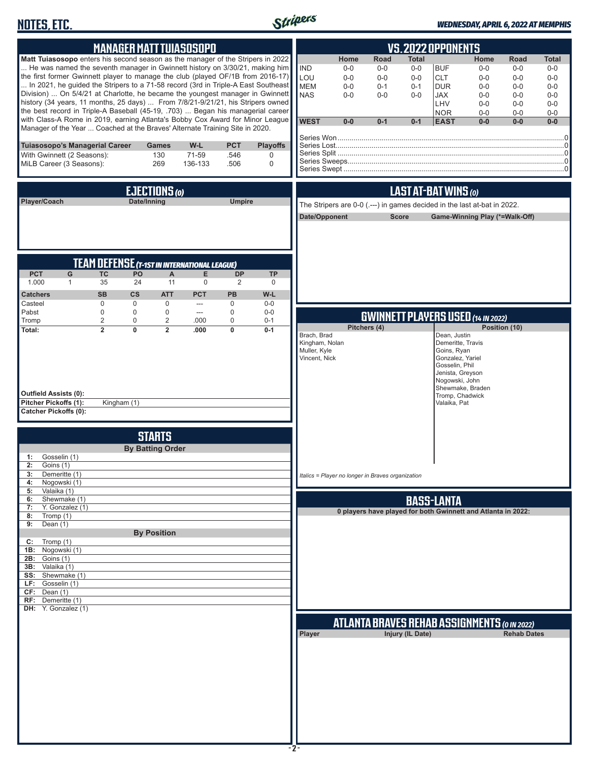# **NOTES, ETC.**



#### *WEDNESDAY, APRIL 6, 2022 AT MEMPHIS*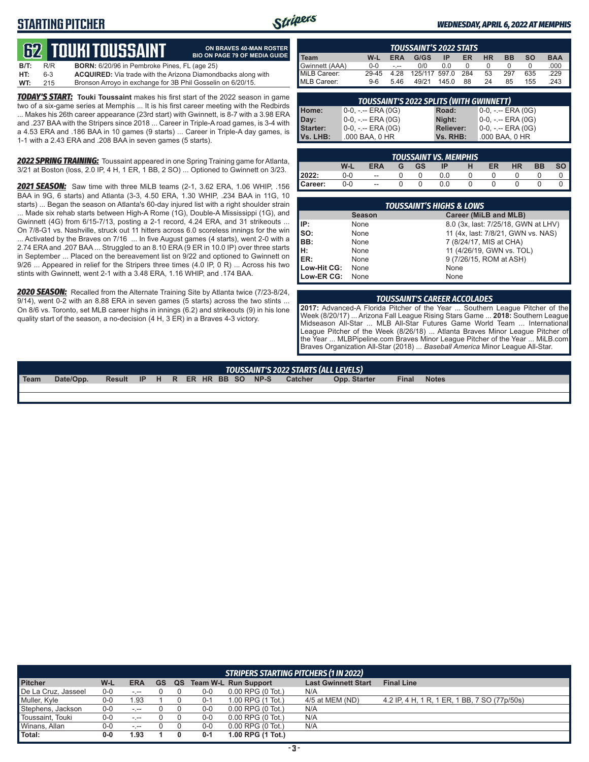## **STARTING PITCHER**



**ON BRAVES 40-MAN ROSTER BIO ON PAGE 79 OF MEDIA GUIDE**

#### *WEDNESDAY, APRIL 6, 2022 AT MEMPHIS*

# **62****TOUKI TOUSSAINT**

| B/T: | R/R | <b>BORN:</b> 6/20/96 in Pembroke Pines, FL (age 25)                 |
|------|-----|---------------------------------------------------------------------|
| HT:  | 6-3 | <b>ACQUIRED:</b> Via trade with the Arizona Diamondbacks along with |
| WT:  | 215 | Bronson Arroyo in exchange for 3B Phil Gosselin on 6/20/15.         |

*TODAY'S START:* **Touki Toussaint** makes his first start of the 2022 season in game two of a six-game series at Memphis ... It is his first career meeting with the Redbirds ... Makes his 26th career appearance (23rd start) with Gwinnett, is 8-7 with a 3.98 ERA and .237 BAA with the Stripers since 2018 ... Career in Triple-A road games, is 3-4 with a 4.53 ERA and .186 BAA in 10 games (9 starts) ... Career in Triple-A day games, is 1-1 with a 2.43 ERA and .208 BAA in seven games (5 starts).

*2022 SPRING TRAINING:* Toussaint appeared in one Spring Training game for Atlanta, 3/21 at Boston (loss, 2.0 IP, 4 H, 1 ER, 1 BB, 2 SO) ... Optioned to Gwinnett on 3/23.

*2021 SEASON:* Saw time with three MiLB teams (2-1, 3.62 ERA, 1.06 WHIP, .156 BAA in 9G, 6 starts) and Atlanta (3-3, 4.50 ERA, 1.30 WHIP, .234 BAA in 11G, 10 starts) ... Began the season on Atlanta's 60-day injured list with a right shoulder strain ... Made six rehab starts between High-A Rome (1G), Double-A Mississippi (1G), and Gwinnett (4G) from 6/15-7/13, posting a 2-1 record, 4.24 ERA, and 31 strikeouts ... On 7/8-G1 vs. Nashville, struck out 11 hitters across 6.0 scoreless innings for the win ... Activated by the Braves on 7/16 ... In five August games (4 starts), went 2-0 with a 2.74 ERA and .207 BAA ... Struggled to an 8.10 ERA (9 ER in 10.0 IP) over three starts in September ... Placed on the bereavement list on 9/22 and optioned to Gwinnett on 9/26 ... Appeared in relief for the Stripers three times (4.0 IP, 0 R) ... Across his two stints with Gwinnett, went 2-1 with a 3.48 ERA, 1.16 WHIP, and .174 BAA.

*2020 SEASON:* Recalled from the Alternate Training Site by Atlanta twice (7/23-8/24, 9/14), went 0-2 with an 8.88 ERA in seven games (5 starts) across the two stints ... On 8/6 vs. Toronto, set MLB career highs in innings (6.2) and strikeouts (9) in his lone quality start of the season, a no-decision (4 H, 3 ER) in a Braves 4-3 victory.

| <b>TOUSSAINT'S 2022 STATS</b> |         |            |               |       |     |    |           |           |            |
|-------------------------------|---------|------------|---------------|-------|-----|----|-----------|-----------|------------|
| l Team                        | W-L     | <b>ERA</b> | G/GS          | IP    | ER  | НR | <b>BB</b> | <b>SO</b> | <b>BAA</b> |
| Gwinnett (AAA)                | $0 - 0$ |            | 0/0           | ი ი   |     |    |           |           | .000       |
| MiLB Career:                  | 29-45   | 4.28       | 125/117 597.0 |       | 284 | 53 | 297       | 635       | .229       |
| MLB Career:                   | $9-6$   | 5.46       | 49/21         | 145.0 | 88  | 24 | 85        | 155       | 243        |

| <b>TOUSSAINT'S 2022 SPLITS (WITH GWINNETT)</b> |                       |                  |                       |  |  |  |  |  |
|------------------------------------------------|-----------------------|------------------|-----------------------|--|--|--|--|--|
| Home:                                          | 0-0, -.-- ERA (0G)    | Road:            | 0-0, -.-- ERA (0G)    |  |  |  |  |  |
| Day:                                           | $0-0, - -$ ERA (0G)   | Night:           | 0-0, -.-- ERA (0G)    |  |  |  |  |  |
| Starter:                                       | $0-0, - -$ ERA $(0G)$ | <b>Reliever:</b> | $0-0, - -$ ERA $(0G)$ |  |  |  |  |  |
| Vs. LHB:                                       | .000 BAA, 0 HR        | Vs. RHB:         | .000 BAA, 0 HR        |  |  |  |  |  |

| <b>TOUSSAINT VS. MEMPHIS.</b> |       |                          |   |           |     |   |    |           |           |           |
|-------------------------------|-------|--------------------------|---|-----------|-----|---|----|-----------|-----------|-----------|
|                               | W-L   | <b>ERA</b>               | G | <b>GS</b> | ΙP  | н | ER | <b>HR</b> | <b>BB</b> | <b>SO</b> |
| 2022:                         | $0-0$ | $\overline{\phantom{a}}$ |   |           | 0.0 |   |    |           |           |           |
| Career:                       | $0-0$ | $\overline{\phantom{a}}$ |   |           | 0.0 |   |    |           |           |           |

| <b>TOUSSAINT'S HIGHS &amp; LOWS</b>                                  |               |                                     |  |  |  |  |
|----------------------------------------------------------------------|---------------|-------------------------------------|--|--|--|--|
|                                                                      | <b>Season</b> | Career (MiLB and MLB)               |  |  |  |  |
| IP:                                                                  | None          | 8.0 (3x, last: 7/25/18, GWN at LHV) |  |  |  |  |
| $\left  \begin{array}{c} \text{SO} \\ \text{SO} \end{array} \right $ | None          | 11 (4x, last: 7/8/21, GWN vs. NAS)  |  |  |  |  |
|                                                                      | None          | 7 (8/24/17, MIS at CHA)             |  |  |  |  |
| H:<br>ER:                                                            | None          | 11 (4/26/19, GWN vs. TOL)           |  |  |  |  |
|                                                                      | None          | 9 (7/26/15, ROM at ASH)             |  |  |  |  |
| Low-Hit CG:                                                          | None          | None                                |  |  |  |  |
| Low-ER CG:                                                           | None          | None                                |  |  |  |  |

#### *TOUSSAINT'S CAREER ACCOLADES*

**2017:** Advanced-A Florida Pitcher of the Year ... Southern League Pitcher of the Week (8/20/17) ... Arizona Fall League Rising Stars Game ... **2018:** Southern League Midseason All-Star ... MLB All-Star Futures Game World Team ... International League Pitcher of the Week (8/26/18) ... Atlanta Braves Minor League Pitcher of the Year ... MLBPipeline.com Braves Minor League Pitcher of the Year ... MiLB.com Braves Organization All-Star (2018) ... *Baseball America* Minor League All-Star.

## *TOUSSAINT'S 2022 STARTS (ALL LEVELS)*

**Team Date/Opp. Result IP H R ER HR BB SO NP-S Catcher Opp. Starter Final Notes**

| STRIPERS STARTING PITCHERS (1 IN 2022) |       |            |           |    |         |                       |                            |                                              |
|----------------------------------------|-------|------------|-----------|----|---------|-----------------------|----------------------------|----------------------------------------------|
| <b>Pitcher</b>                         | W-L   | <b>ERA</b> | <b>GS</b> | QS |         | Team W-L Run Support  | <b>Last Gwinnett Start</b> | <b>Final Line</b>                            |
| De La Cruz, Jasseel                    | $0-0$ | $-1 - 1$   |           |    | $0-0$   | $0.00$ RPG $(0$ Tot.) | N/A                        |                                              |
| Muller, Kyle                           | $0-0$ | .93        |           |    | $0 - 1$ | 1.00 RPG (1 Tot.)     | 4/5 at MEM (ND)            | 4.2 IP, 4 H, 1 R, 1 ER, 1 BB, 7 SO (77p/50s) |
| Stephens, Jackson                      | $0-0$ | $-1$       |           |    | $0-0$   | $0.00$ RPG $(0$ Tot.) | N/A                        |                                              |
| Toussaint, Touki                       | $0-0$ | $-1 - 1$   |           |    | $0-0$   | $0.00$ RPG $(0$ Tot.) | N/A                        |                                              |
| Winans, Allan                          | $0-0$ | $-1 - 1$   |           |    | $0-0$   | $0.00$ RPG $(0$ Tot.) | N/A                        |                                              |
| Total:                                 | 0-0   | .93        |           |    | $0 - 1$ | 1.00 RPG (1 Tot.)     |                            |                                              |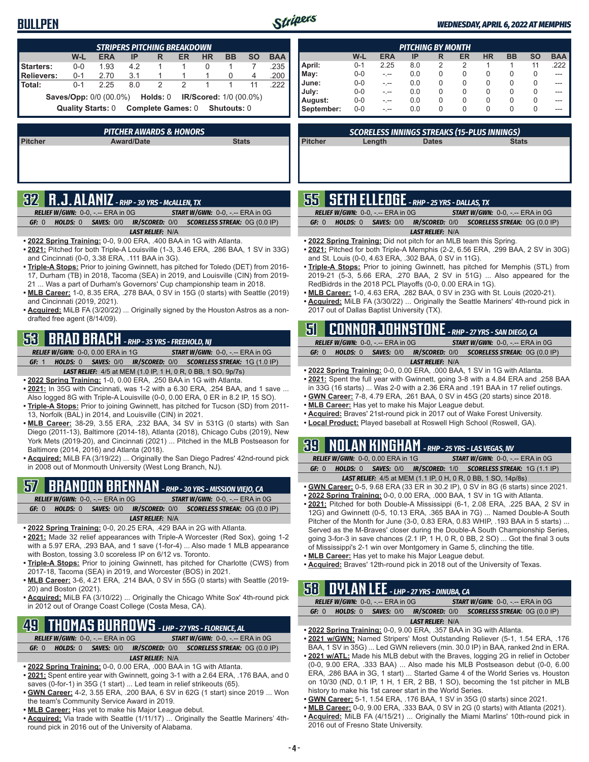#### **BULLPEN**



I Γ

#### *WEDNESDAY, APRIL 6, 2022 AT MEMPHIS*

| <b>STRIPERS PITCHING BREAKDOWN</b>                                                |  |         |            |     |   |               |           |           |           |            |
|-----------------------------------------------------------------------------------|--|---------|------------|-----|---|---------------|-----------|-----------|-----------|------------|
|                                                                                   |  | W-L     | <b>ERA</b> | ΙP  | R | ER            | <b>HR</b> | <b>BB</b> | <b>SO</b> | <b>BAA</b> |
| Starters:                                                                         |  | $0 - 0$ | 1.93       | 4.2 |   |               | 0         |           |           | .235       |
| Relievers:                                                                        |  | $0 - 1$ | 2.70       | 3.1 |   |               |           |           | 4         | .200       |
| Total:                                                                            |  | $0 - 1$ | 2.25       | 8.0 | 2 | $\mathcal{P}$ |           |           | 11        | 222        |
| <b>Saves/Opp: 0/0 (00.0%)</b><br><b>Holds:</b> 0<br><b>IR/Scored:</b> 1/0 (00.0%) |  |         |            |     |   |               |           |           |           |            |
| <b>Complete Games: 0</b><br><b>Quality Starts: 0</b><br><b>Shutouts:</b> 0        |  |         |            |     |   |               |           |           |           |            |
|                                                                                   |  |         |            |     |   |               |           |           |           |            |

| <b>PITCHER AWARDS &amp; HONORS</b> |                   |              |  |  |  |
|------------------------------------|-------------------|--------------|--|--|--|
| <b>Pitcher</b>                     | <b>Award/Date</b> | <b>Stats</b> |  |  |  |
|                                    |                   |              |  |  |  |
|                                    |                   |              |  |  |  |
|                                    |                   |              |  |  |  |

# **32 R.J. ALANIZ** *- RHP - 30 YRS - McALLEN, TX*

| <b>RELIEF W/GWN: <math>0-0.</math> -.-- ERA in <math>0G</math></b> |                         | <b>START W/GWN: <math>0-0.</math> -.-- ERA in <math>0G</math></b>       |
|--------------------------------------------------------------------|-------------------------|-------------------------------------------------------------------------|
| GF: 0                                                              |                         | <b>HOLDS: 0 SAVES: 0/0 IR/SCORED: 0/0 SCORELESS STREAK: 0G (0.0 IP)</b> |
|                                                                    | <b>LAST RELIEF: N/A</b> |                                                                         |

- **• 2022 Spring Training:** 0-0, 9.00 ERA, .400 BAA in 1G with Atlanta.
- **• 2021:** Pitched for both Triple-A Louisville (1-3, 3.46 ERA, .286 BAA, 1 SV in 33G) and Cincinnati (0-0, 3.38 ERA, .111 BAA in 3G).
- **• Triple-A Stops:** Prior to joining Gwinnett, has pitched for Toledo (DET) from 2016- 17, Durham (TB) in 2018, Tacoma (SEA) in 2019, and Louisville (CIN) from 2019- 21 ... Was a part of Durham's Governors' Cup championship team in 2018.
- **• MLB Career:** 1-0, 8.35 ERA, .278 BAA, 0 SV in 15G (0 starts) with Seattle (2019) and Cincinnati (2019, 2021).
- **• Acquired:** MiLB FA (3/20/22) ... Originally signed by the Houston Astros as a nondrafted free agent (8/14/09).

## **53 BRAD BRACH** *- RHP - 35 YRS - FREEHOLD, NJ*

*RELIEF W/GWN:*0-0, 0.00 ERA in 1G *START W/GWN:*0-0, -.-- ERA in 0G *GF:*1 *HOLDS:*0 *SAVES:*0/0 *IR/SCORED:*0/0 *SCORELESS STREAK:*1G (1.0 IP)

- *LAST RELIEF:*4/5 at MEM (1.0 IP, 1 H, 0 R, 0 BB, 1 SO, 9p/7s)
- **• 2022 Spring Training:** 1-0, 0.00 ERA, .250 BAA in 1G with Atlanta.
- **• 2021:** In 35G with Cincinnati, was 1-2 with a 6.30 ERA, .254 BAA, and 1 save ... Also logged 8G with Triple-A Louisville (0-0, 0.00 ERA, 0 ER in 8.2 IP, 15 SO).
- **• Triple-A Stops:** Prior to joining Gwinnett, has pitched for Tucson (SD) from 2011- 13, Norfolk (BAL) in 2014, and Louisville (CIN) in 2021.
- **• MLB Career:** 38-29, 3.55 ERA, .232 BAA, 34 SV in 531G (0 starts) with San Diego (2011-13), Baltimore (2014-18), Atlanta (2018), Chicago Cubs (2019), New York Mets (2019-20), and Cincinnati (2021) ... Pitched in the MLB Postseason for Baltimore (2014, 2016) and Atlanta (2018).
- **• Acquired:** MiLB FA (3/19/22) ... Originally the San Diego Padres' 42nd-round pick in 2008 out of Monmouth University (West Long Branch, NJ).

## **57 BRANDON BRENNAN** *- RHP - 30 YRS - MISSION VIEJO, CA*

*RELIEF W/GWN:*0-0, -.-- ERA in 0G *START W/GWN:*0-0, -.-- ERA in 0G *GF:*0 *HOLDS:*0 *SAVES:*0/0 *IR/SCORED:*0/0 *SCORELESS STREAK:*0G (0.0 IP) *LAST RELIEF:*N/A

- **• 2022 Spring Training:** 0-0, 20.25 ERA, .429 BAA in 2G with Atlanta.
- **• 2021:** Made 32 relief appearances with Triple-A Worcester (Red Sox), going 1-2 with a 5.97 ERA, .293 BAA, and 1 save (1-for-4) ... Also made 1 MLB appearance with Boston, tossing 3.0 scoreless IP on 6/12 vs. Toronto.
- **• Triple-A Stops:** Prior to joining Gwinnett, has pitched for Charlotte (CWS) from 2017-18, Tacoma (SEA) in 2019, and Worcester (BOS) in 2021.
- **• MLB Career:** 3-6, 4.21 ERA, .214 BAA, 0 SV in 55G (0 starts) with Seattle (2019- 20) and Boston (2021).
- **• Acquired:** MiLB FA (3/10/22) ... Originally the Chicago White Sox' 4th-round pick in 2012 out of Orange Coast College (Costa Mesa, CA).

## **49 THOMAS BURROWS** *- LHP - 27 YRS - FLORENCE, AL*

*RELIEF W/GWN:*0-0, -.-- ERA in 0G *START W/GWN:*0-0, -.-- ERA in 0G *GF:*0 *HOLDS:*0 *SAVES:*0/0 *IR/SCORED:*0/0 *SCORELESS STREAK:*0G (0.0 IP) *LAST RELIEF:*N/A

- **• 2022 Spring Training:** 0-0, 0.00 ERA, .000 BAA in 1G with Atlanta.
- **• 2021:** Spent entire year with Gwinnett, going 3-1 with a 2.64 ERA, .176 BAA, and 0 saves (0-for-1) in 35G (1 start) ... Led team in relief strikeouts (65).
- **• GWN Career:** 4-2, 3.55 ERA, .200 BAA, 6 SV in 62G (1 start) since 2019 ... Won the team's Community Service Award in 2019.
- **• MLB Career:** Has yet to make his Major League debut.
- **• Acquired:** Via trade with Seattle (1/11/17) ... Originally the Seattle Mariners' 4thround pick in 2016 out of the University of Alabama.

| PITCHING BY MONTH |         |            |     |          |    |           |           |              |            |
|-------------------|---------|------------|-----|----------|----|-----------|-----------|--------------|------------|
|                   | W-L     | <b>ERA</b> | IP  | R        | ER | <b>HR</b> | <b>BB</b> | <b>SO</b>    | <b>BAA</b> |
| April:            | $0 - 1$ | 2.25       | 8.0 | 2        | 2  |           |           | 11           | .222       |
| May:              | $0 - 0$ | -.--       | 0.0 | $\Omega$ | 0  | 0         | 0         | <sup>0</sup> |            |
| June:             | $0 - 0$ |            | 0.0 | 0        | 0  | 0         | 0         | O            |            |
| July:             | $0 - 0$ |            | 0.0 | 0        | 0  | 0         | 0         | $\Omega$     |            |
| August:           | $0 - 0$ |            | 0.0 | 0        | 0  | 0         | 0         | O            |            |
| September:        | $0 - 0$ |            | 0.0 | 0        |    | 0         | 0         | $\Omega$     |            |

*SCORELESS INNINGS STREAKS (15-PLUS INNINGS)*

| $\mathcal{L}^{\text{max}}_{\text{max}}$ and $\mathcal{L}^{\text{max}}_{\text{max}}$ and $\mathcal{L}^{\text{max}}_{\text{max}}$ and $\mathcal{L}^{\text{max}}_{\text{max}}$ |  |
|-----------------------------------------------------------------------------------------------------------------------------------------------------------------------------|--|

**Pitcher Length Dates Stats**

|  | $\sqrt{55}$ SETH ELLEDGE - RHP - 25 YRS - DALLAS, TX |
|--|------------------------------------------------------|
|  |                                                      |

| <b>RELIEF W/GWN:</b> $0-0$ , $-$ -- ERA in $0G$ |                         | <b>START W/GWN:</b> $0-0$ , $-$ -- ERA in $0G$                   |
|-------------------------------------------------|-------------------------|------------------------------------------------------------------|
| GF: 0                                           |                         | HOLDS: 0 SAVES: 0/0 IR/SCORED: 0/0 SCORELESS STREAK: 0G (0.0 IP) |
|                                                 | <b>LAST RELIEF: N/A</b> |                                                                  |

- **• 2022 Spring Training:** Did not pitch for an MLB team this Spring.
- **• 2021:** Pitched for both Triple-A Memphis (2-2, 6.56 ERA, .299 BAA, 2 SV in 30G) and St. Louis (0-0, 4.63 ERA, .302 BAA, 0 SV in 11G).
- **• Triple-A Stops:** Prior to joining Gwinnett, has pitched for Memphis (STL) from 2019-21 (5-3, 5.66 ERA, .270 BAA, 2 SV in 51G) ... Also appeared for the RedBidrds in the 2018 PCL Playoffs (0-0, 0.00 ERA in 1G).
- **• MLB Career:** 1-0, 4.63 ERA, .282 BAA, 0 SV in 23G with St. Louis (2020-21).
- **• Acquired:** MiLB FA (3/30/22) ... Originally the Seattle Mariners' 4th-round pick in 2017 out of Dallas Baptist University (TX).

|       |  |                                          |                         | 5 CONNOR JOHNSTONE - RHP - 27 YRS - SAN DIEGO, CA                       |
|-------|--|------------------------------------------|-------------------------|-------------------------------------------------------------------------|
|       |  | <b>RELIEF W/GWN: 0-0, -.-- ERA in 0G</b> |                         | <b>START W/GWN: <math>0-0</math>.</b> -.-- ERA in $0G$                  |
| GF: 0 |  |                                          |                         | <b>HOLDS: 0 SAVES: 0/0 IR/SCORED: 0/0 SCORELESS STREAK: 0G (0.0 IP)</b> |
|       |  |                                          | <b>LAST RELIEF: N/A</b> |                                                                         |

- **• 2022 Spring Training:** 0-0, 0.00 ERA, .000 BAA, 1 SV in 1G with Atlanta.
- **• 2021:** Spent the full year with Gwinnett, going 3-8 with a 4.84 ERA and .258 BAA in 33G (16 starts) ... Was 2-0 with a 2.36 ERA and .191 BAA in 17 relief outings.
- **• GWN Career:** 7-8, 4.79 ERA, .261 BAA, 0 SV in 45G (20 starts) since 2018.
- **• MLB Career:** Has yet to make his Major League debut.
- **• Acquired:** Braves' 21st-round pick in 2017 out of Wake Forest University.
- **• Local Product:** Played baseball at Roswell High School (Roswell, GA).

## **39 NOLAN KINGHAM** *- RHP - 25 YRS - LAS VEGAS, NV*

|       | <b>RELIEF W/GWN: 0-0, 0.00 ERA in 1G</b> | <b>START W/GWN: 0-0, -.-- ERA in 0G</b>                               |
|-------|------------------------------------------|-----------------------------------------------------------------------|
| GF: 0 |                                          | HOLDS: 0 SAVES: 0/0 IR/SCORED: 1/0 SCORELESS STREAK: 1G (1.1 IP)      |
|       |                                          | <b>LAST RELIEF:</b> 4/5 at MEM (1.1 IP, 0 H, 0 R, 0 BB, 1 SO, 14p/8s) |

- **• GWN Career:** 0-5, 9.68 ERA (33 ER in 30.2 IP), 0 SV in 8G (6 starts) since 2021.
- **• 2022 Spring Training:** 0-0, 0.00 ERA, .000 BAA, 1 SV in 1G with Atlanta. **• 2021:** Pitched for both Double-A Mississippi (6-1, 2.08 ERA, .225 BAA, 2 SV in 12G) and Gwinnett (0-5, 10.13 ERA, .365 BAA in 7G) ... Named Double-A South Pitcher of the Month for June (3-0, 0.83 ERA, 0.83 WHIP, .193 BAA in 5 starts) ... Served as the M-Braves' closer during the Double-A South Championship Series, going 3-for-3 in save chances (2.1 IP, 1 H, 0 R, 0 BB, 2 SO) ... Got the final 3 outs of Mississippi's 2-1 win over Montgomery in Game 5, clinching the title.
- **• MLB Career:** Has yet to make his Major League debut.
- **• Acquired:** Braves' 12th-round pick in 2018 out of the University of Texas.

#### **58 DYLAN LEE** *- LHP - 27 YRS - DINUBA, CA*

|       | <b>RELIEF W/GWN: 0-0, -.-- ERA in 0G</b> |                         | <b>START W/GWN: 0-0, -.-- ERA in 0G</b> |                                                                  |  |  |
|-------|------------------------------------------|-------------------------|-----------------------------------------|------------------------------------------------------------------|--|--|
| GF: 0 |                                          |                         |                                         | HOLDS: 0 SAVES: 0/0 IR/SCORED: 0/0 SCORELESS STREAK: 0G (0.0 IP) |  |  |
|       |                                          | <b>LAST RELIEF: N/A</b> |                                         |                                                                  |  |  |

- **• 2022 Spring Training:** 0-0, 9.00 ERA, .357 BAA in 3G with Atlanta.
- **• 2021 w/GWN:** Named Stripers' Most Outstanding Reliever (5-1, 1.54 ERA, .176 BAA, 1 SV in 35G) ... Led GWN relievers (min. 30.0 IP) in BAA, ranked 2nd in ERA.
- **• 2021 w/ATL:** Made his MLB debut with the Braves, logging 2G in relief in October (0-0, 9.00 ERA, .333 BAA) ... Also made his MLB Postseason debut (0-0, 6.00 ERA, .286 BAA in 3G, 1 start) ... Started Game 4 of the World Series vs. Houston on 10/30 (ND, 0.1 IP, 1 H, 1 ER, 2 BB, 1 SO), becoming the 1st pitcher in MLB history to make his 1st career start in the World Series.
- **• GWN Career:** 5-1, 1.54 ERA, .176 BAA, 1 SV in 35G (0 starts) since 2021.
- **• MLB Career:** 0-0, 9.00 ERA, .333 BAA, 0 SV in 2G (0 starts) with Atlanta (2021).
- **• Acquired:** MiLB FA (4/15/21) ... Originally the Miami Marlins' 10th-round pick in 2016 out of Fresno State University.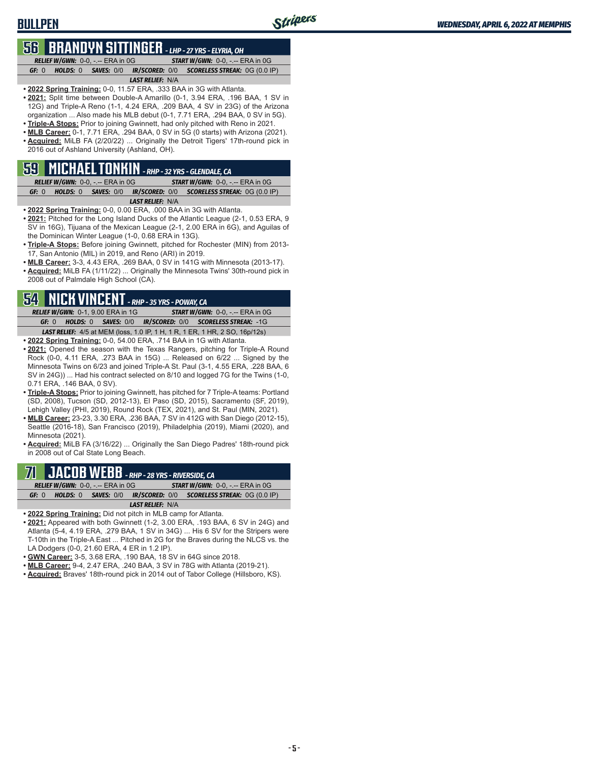## **56 BRANDYN SITTINGER** *- LHP - 27 YRS - ELYRIA, OH*

*RELIEF W/GWN:*0-0, -.-- ERA in 0G *START W/GWN:*0-0, -.-- ERA in 0G *GF:*0 *HOLDS:*0 *SAVES:*0/0 *IR/SCORED:*0/0 *SCORELESS STREAK:*0G (0.0 IP)

#### *LAST RELIEF:*N/A

- **• 2022 Spring Training:** 0-0, 11.57 ERA, .333 BAA in 3G with Atlanta. **• 2021:** Split time between Double-A Amarillo (0-1, 3.94 ERA, .196 BAA, 1 SV in 12G) and Triple-A Reno (1-1, 4.24 ERA, .209 BAA, 4 SV in 23G) of the Arizona organization ... Also made his MLB debut (0-1, 7.71 ERA, .294 BAA, 0 SV in 5G).
- **• Triple-A Stops:** Prior to joining Gwinnett, had only pitched with Reno in 2021.
- **• MLB Career:** 0-1, 7.71 ERA, .294 BAA, 0 SV in 5G (0 starts) with Arizona (2021).
- **• Acquired:** MiLB FA (2/20/22) ... Originally the Detroit Tigers' 17th-round pick in 2016 out of Ashland University (Ashland, OH).

#### **59 MICHAEL TONKIN** *- RHP - 32 YRS - GLENDALE, CA*

|       | <b>RELIEF W/GWN: 0-0, -.-- ERA in 0G/</b> |                         | <b>START W/GWN: 0-0, -.-- ERA in 0G</b> |                                                                         |  |  |  |  |  |
|-------|-------------------------------------------|-------------------------|-----------------------------------------|-------------------------------------------------------------------------|--|--|--|--|--|
| GF: 0 |                                           |                         |                                         | <b>HOLDS: 0 SAVES: 0/0 IR/SCORED: 0/0 SCORELESS STREAK: 0G (0.0 IP)</b> |  |  |  |  |  |
|       |                                           | <b>LAST RELIEF: N/A</b> |                                         |                                                                         |  |  |  |  |  |

- **• 2022 Spring Training:** 0-0, 0.00 ERA, .000 BAA in 3G with Atlanta.
- **• 2021:** Pitched for the Long Island Ducks of the Atlantic League (2-1, 0.53 ERA, 9 SV in 16G), Tijuana of the Mexican League (2-1, 2.00 ERA in 6G), and Aguilas of the Dominican Winter League (1-0, 0.68 ERA in 13G).
- **• Triple-A Stops:** Before joining Gwinnett, pitched for Rochester (MIN) from 2013- 17, San Antonio (MIL) in 2019, and Reno (ARI) in 2019.
- **• MLB Career:** 3-3, 4.43 ERA, .269 BAA, 0 SV in 141G with Minnesota (2013-17).
- **• Acquired:** MiLB FA (1/11/22) ... Originally the Minnesota Twins' 30th-round pick in 2008 out of Palmdale High School (CA).

## **54 NICK VINCENT** *- RHP - 35 YRS - POWAY, CA*

*RELIEF W/GWN:*0-1, 9.00 ERA in 1G *START W/GWN:*0-0, -.-- ERA in 0G *GF:*0 *HOLDS:*0 *SAVES:*0/0 *IR/SCORED:*0/0 *SCORELESS STREAK:*-1G

- *LAST RELIEF:*4/5 at MEM (loss, 1.0 IP, 1 H, 1 R, 1 ER, 1 HR, 2 SO, 16p/12s) **• 2022 Spring Training:** 0-0, 54.00 ERA, .714 BAA in 1G with Atlanta.
- **• 2021:** Opened the season with the Texas Rangers, pitching for Triple-A Round Rock (0-0, 4.11 ERA, .273 BAA in 15G) ... Released on 6/22 ... Signed by the Minnesota Twins on 6/23 and joined Triple-A St. Paul (3-1, 4.55 ERA, .228 BAA, 6 SV in 24G)) ... Had his contract selected on 8/10 and logged 7G for the Twins (1-0, 0.71 ERA, .146 BAA, 0 SV).
- **• Triple-A Stops:** Prior to joining Gwinnett, has pitched for 7 Triple-A teams: Portland (SD, 2008), Tucson (SD, 2012-13), El Paso (SD, 2015), Sacramento (SF, 2019), Lehigh Valley (PHI, 2019), Round Rock (TEX, 2021), and St. Paul (MIN, 2021).
- **• MLB Career:** 23-23, 3.30 ERA, .236 BAA, 7 SV in 412G with San Diego (2012-15), Seattle (2016-18), San Francisco (2019), Philadelphia (2019), Miami (2020), and Minnesota (2021).
- **• Acquired:** MiLB FA (3/16/22) ... Originally the San Diego Padres' 18th-round pick in 2008 out of Cal State Long Beach.

# **71 JACOB WEBB** *- RHP - 28 YRS - RIVERSIDE, CA*

|       | <b>RELIEF W/GWN:</b> $0-0$ , $ -$ ERA in $0G$ |                         | <b>START W/GWN:</b> $0-0.$ -.-- ERA in $0G$                             |
|-------|-----------------------------------------------|-------------------------|-------------------------------------------------------------------------|
| GF: 0 |                                               |                         | <b>HOLDS: 0 SAVES: 0/0 IR/SCORED: 0/0 SCORELESS STREAK: 0G (0.0 IP)</b> |
|       |                                               | <b>LAST RELIEF: N/A</b> |                                                                         |
|       |                                               | _ _ _ _ _               |                                                                         |

- **• 2022 Spring Training:** Did not pitch in MLB camp for Atlanta.
- **• 2021:** Appeared with both Gwinnett (1-2, 3.00 ERA, .193 BAA, 6 SV in 24G) and Atlanta (5-4, 4.19 ERA, .279 BAA, 1 SV in 34G) ... His 6 SV for the Stripers were T-10th in the Triple-A East ... Pitched in 2G for the Braves during the NLCS vs. the LA Dodgers (0-0, 21.60 ERA, 4 ER in 1.2 IP).
- **• GWN Career:** 3-5, 3.68 ERA, .190 BAA, 18 SV in 64G since 2018.
- **• MLB Career:** 9-4, 2.47 ERA, .240 BAA, 3 SV in 78G with Atlanta (2019-21).
- **• Acquired:** Braves' 18th-round pick in 2014 out of Tabor College (Hillsboro, KS).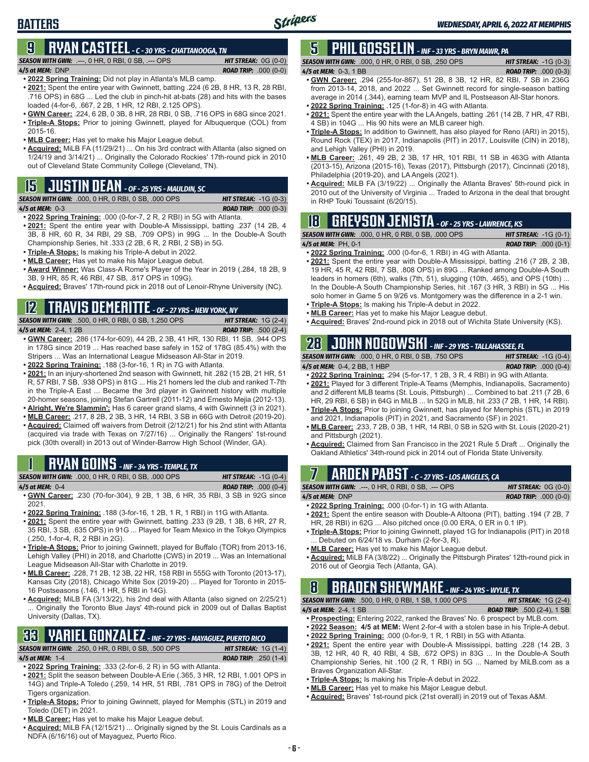## **BATTERS**

#### **9 RYAN CASTEEL** *- C - 30 YRS - CHATTANOOGA, TN*

*SEASON WITH GWN:*.---, 0 HR, 0 RBI, 0 SB, .--- OPS *HIT STREAK:* 0G (0-0)

#### *4/5 at MEM:*DNP *ROAD TRIP:* .000 (0-0)

**• 2022 Spring Training:** Did not play in Atlanta's MLB camp.

- **• 2021:** Spent the entire year with Gwinnett, batting .224 (6 2B, 8 HR, 13 R, 28 RBI, .716 OPS) in 68G ... Led the club in pinch-hit at-bats (28) and hits with the bases loaded (4-for-6, .667, 2 2B, 1 HR, 12 RBI, 2.125 OPS).
- **• GWN Career:** .224, 6 2B, 0 3B, 8 HR, 28 RBI, 0 SB, .716 OPS in 68G since 2021. **• Triple-A Stops:** Prior to joining Gwinnett, played for Albuquerque (COL) from 2015-16.
- **• MLB Career:** Has yet to make his Major League debut.
- **• Acquired:** MiLB FA (11/29/21) ... On his 3rd contract with Atlanta (also signed on 1/24/19 and 3/14/21) ... Originally the Colorado Rockies' 17th-round pick in 2010 out of Cleveland State Community College (Cleveland, TN).

# **15 JUSTIN DEAN** *- OF - 25 YRS - MAULDIN, SC*

*SEASON WITH GWN:*.000, 0 HR, 0 RBI, 0 SB, .000 OPS *HIT STREAK:* -1G (0-3)

*4/5 at MEM:*0-3 *ROAD TRIP:* .000 (0-3)

- **• 2022 Spring Training:** .000 (0-for-7, 2 R, 2 RBI) in 5G with Atlanta.
- **• 2021:** Spent the entire year with Double-A Mississippi, batting .237 (14 2B, 4 3B, 8 HR, 60 R, 34 RBI, 29 SB, .709 OPS) in 99G ... In the Double-A South Championship Series, hit .333 (2 2B, 6 R, 2 RBI, 2 SB) in 5G.
- **• Triple-A Stops:** Is making his Triple-A debut in 2022.
- **• MLB Career:** Has yet to make his Major League debut.
- **• Award Winner:** Was Class-A Rome's Player of the Year in 2019 (.284, 18 2B, 9 3B, 9 HR, 85 R, 46 RBI, 47 SB, .817 OPS in 109G).
- **• Acquired:** Braves' 17th-round pick in 2018 out of Lenoir-Rhyne University (NC).

## **12 TRAVIS DEMERITTE** *- OF - 27 YRS - NEW YORK, NY*

*SEASON WITH GWN:*.500, 0 HR, 0 RBI, 0 SB, 1.250 OPS *HIT STREAK:* 1G (2-4) *4/5 at MEM:*2-4, 1 2B *ROAD TRIP:* .500 (2-4)

- **• GWN Career:** .286 (174-for-609), 44 2B, 2 3B, 41 HR, 130 RBI, 11 SB, .944 OPS in 178G since 2019 ... Has reached base safely in 152 of 178G (85.4%) with the Stripers ... Was an International League Midseason All-Star in 2019.
- **• 2022 Spring Training:** .188 (3-for-16, 1 R) in 7G with Atlanta.
- **• 2021:** In an injury-shortened 2nd season with Gwinnett, hit .282 (15 2B, 21 HR, 51 R, 57 RBI, 7 SB, .938 OPS) in 81G ... His 21 homers led the club and ranked T-7th in the Triple-A East ... Became the 3rd player in Gwinnett history with multiple 20-homer seasons, joining Stefan Gartrell (2011-12) and Ernesto Mejia (2012-13).
- **• Alright, We're Slammin':** Has 6 career grand slams, 4 with Gwinnett (3 in 2021). **• MLB Career:** .217, 8 2B, 2 3B, 3 HR, 14 RBI, 3 SB in 66G with Detroit (2019-20).
- **• Acquired:** Claimed off waivers from Detroit (2/12/21) for his 2nd stint with Atlanta (acquired via trade with Texas on 7/27/16) ... Originally the Rangers' 1st-round pick (30th overall) in 2013 out of Winder-Barrow High School (Winder, GA).

## **1 RYAN GOINS** *- INF - 34 YRS - TEMPLE, TX*

|                 | <b>SEASON WITH GWN: .000, 0 HR, 0 RBI, 0 SB, .000 OPS</b> | <b>HIT STREAK:</b> $-1G(0-4)$ |
|-----------------|-----------------------------------------------------------|-------------------------------|
| 4/5 at MEM: 0-4 |                                                           | <b>ROAD TRIP:</b> $.000(0-4)$ |

- **• GWN Career:** .230 (70-for-304), 9 2B, 1 3B, 6 HR, 35 RBI, 3 SB in 92G since 2021.
- **• 2022 Spring Training:** .188 (3-for-16, 1 2B, 1 R, 1 RBI) in 11G with Atlanta.
- **• 2021:** Spent the entire year with Gwinnett, batting .233 (9 2B, 1 3B, 6 HR, 27 R, 35 RBI, 3 SB, .635 OPS) in 91G ... Played for Team Mexico in the Tokyo Olympics (.250, 1-for-4, R, 2 RBI in 2G).
- **• Triple-A Stops:** Prior to joining Gwinnett, played for Buffalo (TOR) from 2013-16, Lehigh Valley (PHI) in 2018, and Charlotte (CWS) in 2019 ... Was an International League Midseason All-Star with Charlotte in 2019.
- **• MLB Career:** .228, 71 2B, 12 3B, 22 HR, 158 RBI in 555G with Toronto (2013-17), Kansas City (2018), Chicago White Sox (2019-20) ... Played for Toronto in 2015- 16 Postseasons (.146, 1 HR, 5 RBI in 14G).
- **• Acquired:** MiLB FA (3/13/22), his 2nd deal with Atlanta (also signed on 2/25/21) Originally the Toronto Blue Jays' 4th-round pick in 2009 out of Dallas Baptist University (Dallas, TX).

#### **33 YARIEL GONZALEZ** *- INF - 27 YRS - MAYAGUEZ, PUERTO RICO SEASON WITH GWN:*.250, 0 HR, 0 RBI, 0 SB, .500 OPS *HIT STREAK:* 1G (1-4)

#### *4/5 at MEM:*1-4 *ROAD TRIP:* .250 (1-4)

**• 2022 Spring Training:** .333 (2-for-6, 2 R) in 5G with Atlanta.

- **• 2021:** Split the season between Double-A Erie (.365, 3 HR, 12 RBI, 1.001 OPS in 14G) and Triple-A Toledo (.259, 14 HR, 51 RBI, .781 OPS in 78G) of the Detroit Tigers organization.
- **• Triple-A Stops:** Prior to joining Gwinnett, played for Memphis (STL) in 2019 and Toledo (DET) in 2021.
- **• MLB Career:** Has yet to make his Major League debut.
- **• Acquired:** MiLB FA (12/15/21) ... Originally signed by the St. Louis Cardinals as a NDFA (6/16/16) out of Mayaguez, Puerto Rico.

# **5 PHIL GOSSELIN** *- INF - 33 YRS - BRYN MAWR, PA*

| <b>SEASON WITH GWN:</b> .000, 0 HR, 0 RBI, 0 SB, .250 OPS | <b>HIT STREAK:</b> $-1G(0-3)$  |
|-----------------------------------------------------------|--------------------------------|
| 4/5 at MEM: 0-3, 1 BB                                     | <b>ROAD TRIP:</b> .000 $(0-3)$ |
|                                                           |                                |

- **• GWN Career:** .294 (255-for-867), 51 2B, 8 3B, 12 HR, 82 RBI, 7 SB in 236G from 2013-14, 2018, and 2022 ... Set Gwinnett record for single-season batting average in 2014 (.344), earning team MVP and IL Postseason All-Star honors.
- **• 2022 Spring Training:** .125 (1-for-8) in 4G with Atlanta.
- **• 2021:** Spent the entire year with the LA Angels, batting .261 (14 2B, 7 HR, 47 RBI, 4 SB) in 104G ... His 90 hits were an MLB career high.
- **• Triple-A Stops:** In addition to Gwinnett, has also played for Reno (ARI) in 2015), Round Rock (TEX) in 2017, Indianapolis (PIT) in 2017, Louisville (CIN) in 2018), and Lehigh Valley (PHI) in 2019.
- **• MLB Career:** .261, 49 2B, 2 3B, 17 HR, 101 RBI, 11 SB in 463G with Atlanta (2013-15), Arizona (2015-16), Texas (2017), Pittsburgh (2017), Cincinnati (2018), Philadelphia (2019-20), and LA Angels (2021).
- **• Acquired:** MiLB FA (3/19/22) ... Originally the Atlanta Braves' 5th-round pick in 2010 out of the University of Virginia ... Traded to Arizona in the deal that brought in RHP Touki Toussaint (6/20/15).

**18 GREYSON JENISTA** *- OF - 25 YRS - LAWRENCE, KS*<br>ASON WITH GWN: .000, 0 HR, 0 RBI, 0 SB, .000 OPS HIT STREAK: -1G (0-1) *SEASON WITH GWN:*.000, 0 HR, 0 RBI, 0 SB, .000 OPS *HIT STREAK:* -1G (0-1) *4/5 at MEM:*PH, 0-1 *ROAD TRIP:* .000 (0-1)

- **• 2022 Spring Training:** .000 (0-for-6, 1 RBI) in 4G with Atlanta.
- **• 2021:** Spent the entire year with Double-A Mississippi, batting .216 (7 2B, 2 3B, 19 HR, 45 R, 42 RBI, 7 SB, .808 OPS) in 89G ... Ranked among Double-A South leaders in homers (6th), walks (7th, 51), slugging (10th, .465), and OPS (10th) ... In the Double-A South Championship Series, hit .167 (3 HR, 3 RBI) in 5G ... His solo homer in Game 5 on 9/26 vs. Montgomery was the difference in a 2-1 win.
- **• Triple-A Stops:** Is making his Triple-A debut in 2022. **• MLB Career:** Has yet to make his Major League debut.
- **• Acquired:** Braves' 2nd-round pick in 2018 out of Wichita State University (KS).

## **28 JOHN NOGOWSKI** *- INF - 29 YRS - TALLAHASSEE, FL*

*SEASON WITH GWN:*.000, 0 HR, 0 RBI, 0 SB, .750 OPS *HIT STREAK:* -1G (0-4) *4/5 at MEM:*0-4, 2 BB, 1 HBP *ROAD TRIP:* .000 (0-4)

- **• 2022 Spring Training:** .294 (5-for-17, 1 2B, 3 R, 4 RBI) in 9G with Atlanta. **• 2021:** Played for 3 different Triple-A Teams (Memphis, Indianapolis, Sacramento) and 2 different MLB teams (St. Louis, Pittsburgh) ... Combined to bat .211 (7 2B, 6 HR, 29 RBI, 6 SB) in 64G in MiLB ... In 52G in MLB, hit .233 (7 2B, 1 HR, 14 RBI).
- **• Triple-A Stops:** Prior to joining Gwinnett, has played for Memphis (STL) in 2019 and 2021, Indianapolis (PIT) in 2021, and Sacramento (SF) in 2021.
- **• MLB Career:** .233, 7 2B, 0 3B, 1 HR, 14 RBI, 0 SB in 52G with St. Louis (2020-21) and Pittsburgh (2021).
- **• Acquired:** Claimed from San Francisco in the 2021 Rule 5 Draft ... Originally the Oakland Athletics' 34th-round pick in 2014 out of Florida State University.

## **7 ARDEN PABST** *- C - 27 YRS - LOS ANGELES, CA*

*SEASON WITH GWN:*.---, 0 HR, 0 RBI, 0 SB, .--- OPS *HIT STREAK:* 0G (0-0)

*4/5 at MEM:*DNP *ROAD TRIP:* .000 (0-0) **• 2022 Spring Training:** .000 (0-for-1) in 1G with Atlanta.

- **• 2021:** Spent the entire season with Double-A Altoona (PIT), batting .194 (7 2B, 7 HR, 28 RBI) in 62G ... Also pitched once (0.00 ERA, 0 ER in 0.1 IP).
- **• Triple-A Stops:** Prior to joining Gwinnett, played 1G for Indianapolis (PIT) in 2018 ... Debuted on 6/24/18 vs. Durham (2-for-3, R).
- **• MLB Career:** Has yet to make his Major League debut.
- **• Acquired:** MiLB FA (3/8/22) ... Originally the Pittsburgh Pirates' 12th-round pick in 2016 out of Georgia Tech (Atlanta, GA).

## **8 BRADEN SHEWMAKE** *- INF - 24 YRS - WYLIE, TX*

*SEASON WITH GWN:*.500, 0 HR, 0 RBI, 1 SB, 1.000 OPS *HIT STREAK:* 1G (2-4)

*4/5 at MEM:*2-4, 1 SB *ROAD TRIP:* .500 (2-4), 1 SB

- **• Prospecting:** Entering 2022, ranked the Braves' No. 6 prospect by MLB.com.
- **• 2022 Season: 4/5 at MEM:** Went 2-for-4 with a stolen base in his Triple-A debut.
- **• 2022 Spring Training:** .000 (0-for-9, 1 R, 1 RBI) in 5G with Atlanta.
- **• 2021:** Spent the entire year with Double-A Mississippi, batting .228 (14 2B, 3 3B, 12 HR, 40 R, 40 RBI, 4 SB, .672 OPS) in 83G ... In the Double-A South Championship Series, hit .100 (2 R, 1 RBI) in 5G ... Named by MiLB.com as a Braves Organization All-Star.
- **• Triple-A Stops:** Is making his Triple-A debut in 2022.
- **• MLB Career:** Has yet to make his Major League debut.
- **• Acquired:** Braves' 1st-round pick (21st overall) in 2019 out of Texas A&M.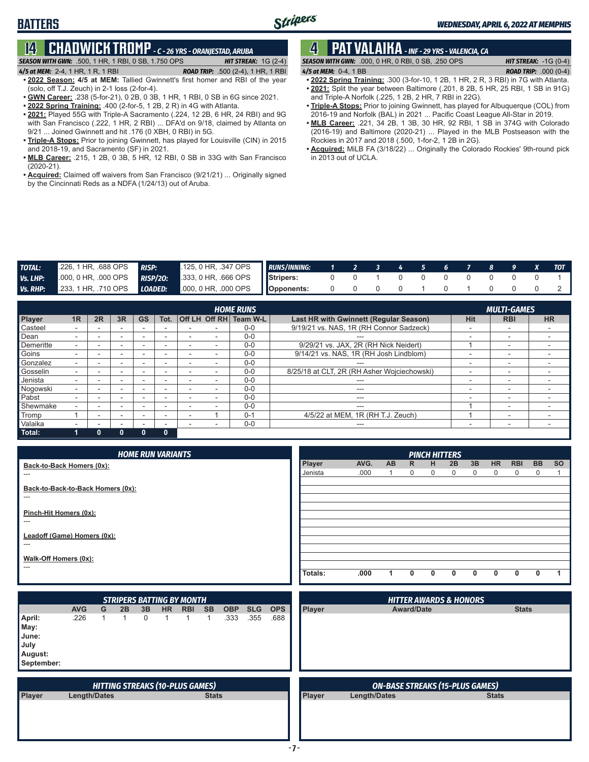## **14 CHADWICK TROMP** *- C - 26 YRS - ORANJESTAD, ARUBA*

*SEASON WITH GWN:*.500, 1 HR, 1 RBI, 0 SB, 1.750 OPS *HIT STREAK:* 1G (2-4) *4/5 at MEM:*2-4, 1 HR, 1 R, 1 RBI *ROAD TRIP:* .500 (2-4), 1 HR, 1 RBI

- **• 2022 Season: 4/5 at MEM:** Tallied Gwinnett's first homer and RBI of the year (solo, off T.J. Zeuch) in 2-1 loss (2-for-4).
- **• GWN Career:** .238 (5-for-21), 0 2B, 0 3B, 1 HR, 1 RBI, 0 SB in 6G since 2021.
- **• 2022 Spring Training:** .400 (2-for-5, 1 2B, 2 R) in 4G with Atlanta.
- **• 2021:** Played 55G with Triple-A Sacramento (.224, 12 2B, 6 HR, 24 RBI) and 9G with San Francisco (.222, 1 HR, 2 RBI) ... DFA'd on 9/18, claimed by Atlanta on 9/21 ... Joined Gwinnett and hit .176 (0 XBH, 0 RBI) in 5G.
- **• Triple-A Stops:** Prior to joining Gwinnett, has played for Louisville (CIN) in 2015 and 2018-19, and Sacramento (SF) in 2021.
- **• MLB Career:** .215, 1 2B, 0 3B, 5 HR, 12 RBI, 0 SB in 33G with San Francisco (2020-21).
- **• Acquired:** Claimed off waivers from San Francisco (9/21/21) ... Originally signed by the Cincinnati Reds as a NDFA (1/24/13) out of Aruba.

## **4 PAT VALAIKA** *- INF - 29 YRS - VALENCIA, CA*

*SEASON WITH GWN:*.000, 0 HR, 0 RBI, 0 SB, .250 OPS *HIT STREAK:* -1G (0-4) *4/5 at MEM:*0-4, 1 BB *ROAD TRIP:* .000 (0-4)

- **• 2022 Spring Training:** .300 (3-for-10, 1 2B, 1 HR, 2 R, 3 RBI) in 7G with Atlanta.
- **• 2021:** Split the year between Baltimore (.201, 8 2B, 5 HR, 25 RBI, 1 SB in 91G) and Triple-A Norfolk (.225, 1 2B, 2 HR, 7 RBI in 22G).
- **• Triple-A Stops:** Prior to joining Gwinnett, has played for Albuquerque (COL) from 2016-19 and Norfolk (BAL) in 2021 ... Pacific Coast League All-Star in 2019.
- **• MLB Career:** .221, 34 2B, 1 3B, 30 HR, 92 RBI, 1 SB in 374G with Colorado (2016-19) and Baltimore (2020-21) ... Played in the MLB Postseason with the Rockies in 2017 and 2018 (.500, 1-for-2, 1 2B in 2G).
- **• Acquired:** MiLB FA (3/18/22) ... Originally the Colorado Rockies' 9th-round pick in 2013 out of UCLA.

| <b>TOTAL:</b> | 226, 1 HR, 688 OPS RISP: | $125, 0$ HR, $.347$ OPS RUNS/INNING:                     |  |           |  |  |                                                 |  | 1 2 3 4 5 6 7 8 9 X TOT |
|---------------|--------------------------|----------------------------------------------------------|--|-----------|--|--|-------------------------------------------------|--|-------------------------|
| Vs. LHP:      |                          | 000, 0 HR, 000 OPS RISP/20: 333, 0 HR, 666 OPS Stripers: |  |           |  |  | $\begin{matrix} 0 & 0 & 0 & 0 & 0 \end{matrix}$ |  |                         |
| Vs. RHP:      |                          | 233, 1 HR, 710 OPS LOADED: 000, 0 HR, 000 OPS Opponents: |  | 0 0 0 0 1 |  |  |                                                 |  |                         |

|           |    |    | <b>MULTI-GAMES</b> |              |                          |               |          |                                             |                          |            |                          |
|-----------|----|----|--------------------|--------------|--------------------------|---------------|----------|---------------------------------------------|--------------------------|------------|--------------------------|
| Player    | 1R | 2R | 3R                 | <b>GS</b>    | Tot.                     | Off LH Off RH | Team W-L | Last HR with Gwinnett (Regular Season)      | <b>Hit</b>               | <b>RBI</b> | <b>HR</b>                |
| Casteel   |    |    |                    |              | $\overline{\phantom{a}}$ |               | $0-0$    | 9/19/21 vs. NAS, 1R (RH Connor Sadzeck)     |                          | -          | $\overline{\phantom{a}}$ |
| Dean      |    |    |                    |              | -                        |               | $0 - 0$  | ---                                         | -                        | -          |                          |
| Demeritte |    |    |                    |              |                          |               | $0 - 0$  | 9/29/21 vs. JAX, 2R (RH Nick Neidert)       |                          | -          |                          |
| Goins     |    |    |                    |              |                          |               | $0 - 0$  | 9/14/21 vs. NAS, 1R (RH Josh Lindblom)      |                          | -          |                          |
| Gonzalez  |    |    |                    |              |                          |               | $0 - 0$  |                                             |                          | -          |                          |
| Gosselin  |    |    |                    |              | -                        |               | $0 - 0$  | 8/25/18 at CLT, 2R (RH Asher Wojciechowski) |                          | -          |                          |
| Jenista   |    |    |                    |              |                          |               | $0 - 0$  | $---$                                       |                          | ۰          |                          |
| Nogowski  |    |    |                    |              |                          |               | $0 - 0$  | ---                                         | $\overline{\phantom{a}}$ | -          |                          |
| Pabst     |    |    |                    |              | -                        |               | $0 - 0$  | ---                                         |                          | -          |                          |
| Shewmake  |    |    |                    |              | -                        |               | $0 - 0$  | $- - -$                                     |                          | -          |                          |
| Tromp     |    |    |                    |              |                          |               | $0 - 1$  | 4/5/22 at MEM, 1R (RH T.J. Zeuch)           |                          | -          |                          |
| Valaika   |    |    |                    |              |                          |               | $0 - 0$  | $---$                                       | -                        | ۰          |                          |
| Total:    |    | O  | O                  | $\mathbf{0}$ | $\mathbf{0}$             |               |          |                                             |                          |            |                          |

| <b>HOME RUN VARIANTS</b>                 |         |      |           |          |   | <b>PINCH HITTERS</b> |    |           |            |           |           |
|------------------------------------------|---------|------|-----------|----------|---|----------------------|----|-----------|------------|-----------|-----------|
| Back-to-Back Homers (0x):                | Player  | AVG. | <b>AB</b> | R.       | H | 2B                   | 3B | <b>HR</b> | <b>RBI</b> | <b>BB</b> | <b>SO</b> |
| ---                                      | Jenista | .000 |           | $\Omega$ | 0 | $\mathbf{0}$         | 0  | 0         | $\Omega$   | 0         |           |
| Back-to-Back-to-Back Homers (0x):<br>--- |         |      |           |          |   |                      |    |           |            |           |           |
| Pinch-Hit Homers (0x):<br>---            |         |      |           |          |   |                      |    |           |            |           |           |
| Leadoff (Game) Homers (0x):              |         |      |           |          |   |                      |    |           |            |           |           |
| ---                                      |         |      |           |          |   |                      |    |           |            |           |           |
| Walk-Off Homers (0x):<br>---             |         |      |           |          |   |                      |    |           |            |           |           |
|                                          | Totals: | .000 |           |          | 0 | <sup>0</sup>         | n  | n         |            | ŋ         |           |

|                                                          |              |   |    |          |     | <b>STRIPERS BATTING BY MONTH</b>       |              |            |            | <b>HITTER AWARDS &amp; HONORS</b> |        |                                        |              |  |  |  |
|----------------------------------------------------------|--------------|---|----|----------|-----|----------------------------------------|--------------|------------|------------|-----------------------------------|--------|----------------------------------------|--------------|--|--|--|
|                                                          | <b>AVG</b>   | G | 2B | 3B       | HR. | <b>RBI</b>                             | <b>SB</b>    | <b>OBP</b> | <b>SLG</b> | <b>OPS</b>                        | Player | <b>Award/Date</b>                      | <b>Stats</b> |  |  |  |
| April:<br>May:<br>June:<br>July<br>August:<br>September: | .226         |   |    | $\Omega$ |     |                                        |              | .333       | .355       | .688                              |        |                                        |              |  |  |  |
|                                                          |              |   |    |          |     | <b>HITTING STREAKS (10-PLUS GAMES)</b> |              |            |            |                                   |        | <b>ON-BASE STREAKS (15-PLUS GAMES)</b> |              |  |  |  |
| Player                                                   | Length/Dates |   |    |          |     |                                        | <b>Stats</b> |            |            |                                   | Player | Length/Dates                           | <b>Stats</b> |  |  |  |
|                                                          |              |   |    |          |     |                                        |              |            |            |                                   |        |                                        |              |  |  |  |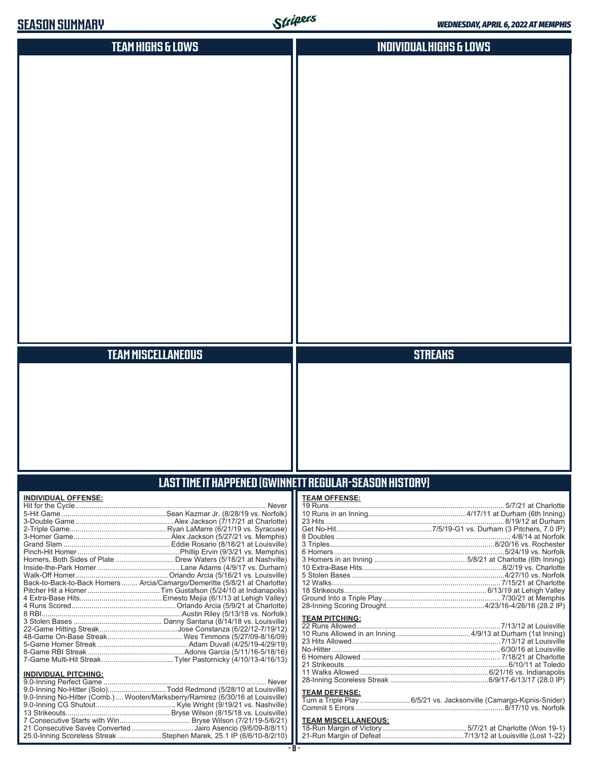| <b>SLASUN SUMMAHY</b>                                                      | $S$ une               | <b>WEDNESDAY, APRIL 6, 2022 AT MEMPHIS</b> |
|----------------------------------------------------------------------------|-----------------------|--------------------------------------------|
| <b>TEAM HIGHS &amp; LOWS</b>                                               |                       | <b>INDIVIDUAL HIGHS &amp; LOWS</b>         |
|                                                                            |                       |                                            |
|                                                                            |                       |                                            |
|                                                                            |                       |                                            |
|                                                                            |                       |                                            |
|                                                                            |                       |                                            |
|                                                                            |                       |                                            |
|                                                                            |                       |                                            |
|                                                                            |                       |                                            |
|                                                                            |                       |                                            |
|                                                                            |                       |                                            |
|                                                                            |                       |                                            |
|                                                                            |                       |                                            |
|                                                                            |                       |                                            |
|                                                                            |                       |                                            |
|                                                                            |                       |                                            |
|                                                                            |                       |                                            |
|                                                                            |                       |                                            |
|                                                                            |                       |                                            |
|                                                                            |                       |                                            |
|                                                                            |                       |                                            |
|                                                                            |                       |                                            |
| <b>TEAM MISCELLANEOUS</b>                                                  |                       | <b>STREAKS</b>                             |
|                                                                            |                       |                                            |
|                                                                            |                       |                                            |
|                                                                            |                       |                                            |
|                                                                            |                       |                                            |
|                                                                            |                       |                                            |
|                                                                            |                       |                                            |
|                                                                            |                       |                                            |
|                                                                            |                       |                                            |
| LAST TIME IT HAPPENED (GWINNETT REGULAR-SEASON HISTORY)                    |                       |                                            |
| <b>INDIVIDUAL OFFENSE:</b>                                                 | <b>TEAM OFFENSE:</b>  |                                            |
|                                                                            |                       |                                            |
|                                                                            |                       |                                            |
|                                                                            |                       |                                            |
|                                                                            |                       |                                            |
|                                                                            |                       |                                            |
| Homers, Both Sides of Plate  Drew Waters (5/18/21 at Nashville)            |                       |                                            |
|                                                                            |                       |                                            |
| Back-to-Back-to-Back Homers  Arcia/Camargo/Demeritte (5/8/21 at Charlotte) |                       |                                            |
|                                                                            |                       |                                            |
|                                                                            |                       |                                            |
|                                                                            |                       |                                            |
|                                                                            | <b>TEAM PITCHING:</b> |                                            |
|                                                                            |                       |                                            |
|                                                                            |                       |                                            |
|                                                                            |                       |                                            |
|                                                                            |                       |                                            |
|                                                                            |                       |                                            |
| <b>INDIVIDUAL PITCHING:</b><br>9.0-Inning Perfect Game.<br>Never           |                       |                                            |

| <b>INDIVIDUAL FILUIIIIVU.</b> |                                                                                |
|-------------------------------|--------------------------------------------------------------------------------|
|                               |                                                                                |
|                               | 9.0-Inning No-Hitter (Solo)Todd Redmond (5/28/10 at Louisville)                |
|                               | 9.0-Inning No-Hitter (Comb.) Wooten/Marksberry/Ramirez (6/30/16 at Louisville) |
|                               |                                                                                |
|                               |                                                                                |
|                               |                                                                                |
|                               | 21 Consecutive Saves Converted Jairo Asencio (9/6/09-8/8/11)                   |
|                               | 25.0-Inning Scoreless Streak Stephen Marek, 25.1 IP (6/6/10-8/2/10)            |
|                               |                                                                                |

**TEAM DEFENSE:** Turn a Triple Play .........................6/5/21 vs. Jacksonville (Camargo-Kipnis-Snider) Commit 5 Errors ..........................................................................8/17/10 vs. Norfolk